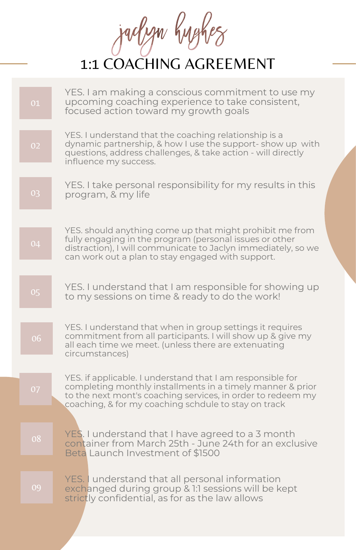Jackyn hughes

| 01 | YES. I am making a conscious commitment to use my<br>upcoming coaching experience to take consistent,<br>focused action toward my growth goals                                                                                                  |
|----|-------------------------------------------------------------------------------------------------------------------------------------------------------------------------------------------------------------------------------------------------|
| 02 | YES. I understand that the coaching relationship is a<br>dynamic partnership, & how I use the support-show up with<br>questions, address challenges, & take action - will directly<br>influence my success.                                     |
| 03 | YES. I take personal responsibility for my results in this<br>program, & my life                                                                                                                                                                |
| 04 | YES. should anything come up that might prohibit me from<br>fully engaging in the program (personal issues or other<br>distraction), I will communicate to Jaclyn immediately, so we<br>can work out a plan to stay engaged with support.       |
| 05 | YES. I understand that I am responsible for showing up<br>to my sessions on time & ready to do the work!                                                                                                                                        |
| 06 | YES. I understand that when in group settings it requires<br>commitment from all participants. I will show up & give my<br>all each time we meet. (unless there are extenuating<br>circumstances)                                               |
| 07 | YES. if applicable. I understand that I am responsible for<br>completing monthly installments in a timely manner & prior<br>to the next mont's coaching services, in order to redeem my<br>coaching, & for my coaching schdule to stay on track |
| 08 | YES. I understand that I have agreed to a 3 month<br>container from March 25th - June 24th for an exclusive<br>Beta Launch Investment of \$1500                                                                                                 |
| 09 | YES. I understand that all personal information<br>exchanged during group & 1:1 sessions will be kept<br>strictly confidential, as for as the law allows                                                                                        |